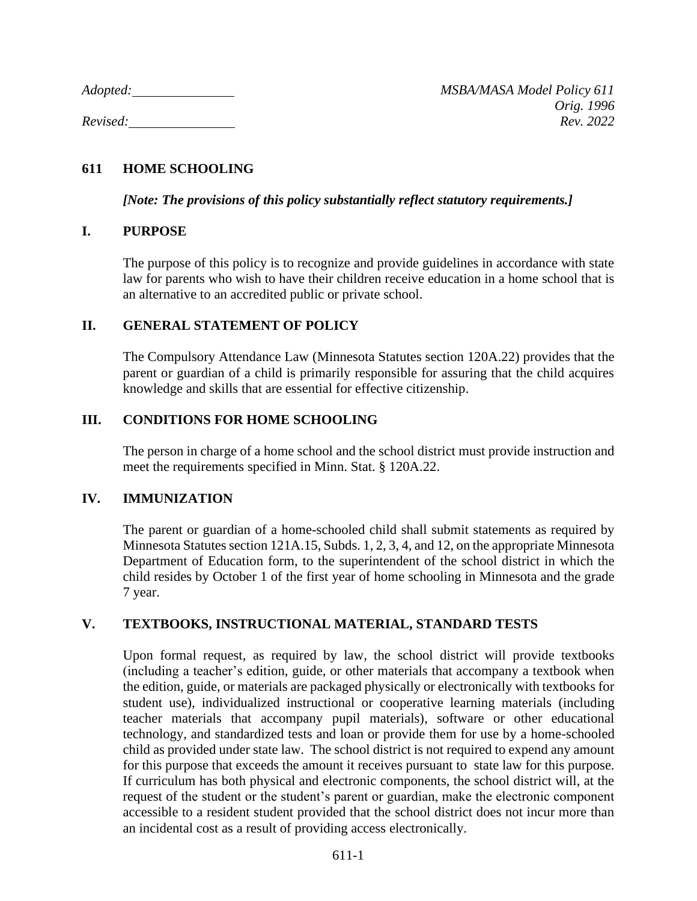# **611 HOME SCHOOLING**

*[Note: The provisions of this policy substantially reflect statutory requirements.]*

## **I. PURPOSE**

The purpose of this policy is to recognize and provide guidelines in accordance with state law for parents who wish to have their children receive education in a home school that is an alternative to an accredited public or private school.

## **II. GENERAL STATEMENT OF POLICY**

The Compulsory Attendance Law (Minnesota Statutes section 120A.22) provides that the parent or guardian of a child is primarily responsible for assuring that the child acquires knowledge and skills that are essential for effective citizenship.

# **III. CONDITIONS FOR HOME SCHOOLING**

The person in charge of a home school and the school district must provide instruction and meet the requirements specified in Minn. Stat. § 120A.22.

### **IV. IMMUNIZATION**

The parent or guardian of a home-schooled child shall submit statements as required by Minnesota Statutes section 121A.15, Subds. 1, 2, 3, 4, and 12, on the appropriate Minnesota Department of Education form, to the superintendent of the school district in which the child resides by October 1 of the first year of home schooling in Minnesota and the grade 7 year.

# **V. TEXTBOOKS, INSTRUCTIONAL MATERIAL, STANDARD TESTS**

Upon formal request, as required by law, the school district will provide textbooks (including a teacher's edition, guide, or other materials that accompany a textbook when the edition, guide, or materials are packaged physically or electronically with textbooks for student use), individualized instructional or cooperative learning materials (including teacher materials that accompany pupil materials), software or other educational technology, and standardized tests and loan or provide them for use by a home-schooled child as provided under state law. The school district is not required to expend any amount for this purpose that exceeds the amount it receives pursuant to state law for this purpose. If curriculum has both physical and electronic components, the school district will, at the request of the student or the student's parent or guardian, make the electronic component accessible to a resident student provided that the school district does not incur more than an incidental cost as a result of providing access electronically.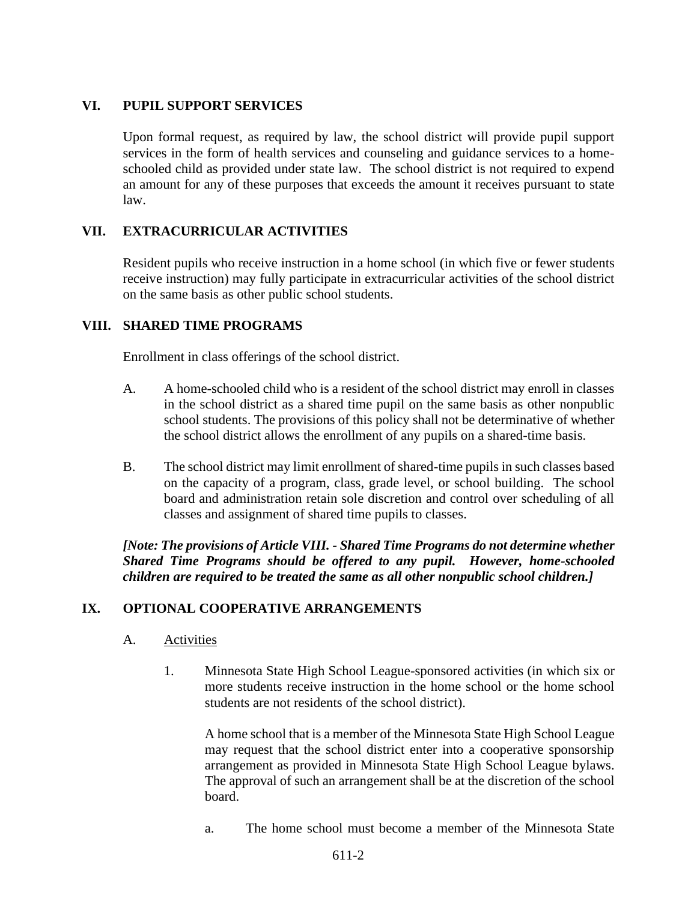# **VI. PUPIL SUPPORT SERVICES**

Upon formal request, as required by law, the school district will provide pupil support services in the form of health services and counseling and guidance services to a homeschooled child as provided under state law. The school district is not required to expend an amount for any of these purposes that exceeds the amount it receives pursuant to state law.

# **VII. EXTRACURRICULAR ACTIVITIES**

Resident pupils who receive instruction in a home school (in which five or fewer students receive instruction) may fully participate in extracurricular activities of the school district on the same basis as other public school students.

## **VIII. SHARED TIME PROGRAMS**

Enrollment in class offerings of the school district.

- A. A home-schooled child who is a resident of the school district may enroll in classes in the school district as a shared time pupil on the same basis as other nonpublic school students. The provisions of this policy shall not be determinative of whether the school district allows the enrollment of any pupils on a shared-time basis.
- B. The school district may limit enrollment of shared-time pupils in such classes based on the capacity of a program, class, grade level, or school building. The school board and administration retain sole discretion and control over scheduling of all classes and assignment of shared time pupils to classes.

*[Note: The provisions of Article VIII. - Shared Time Programs do not determine whether Shared Time Programs should be offered to any pupil. However, home-schooled children are required to be treated the same as all other nonpublic school children.]*

### **IX. OPTIONAL COOPERATIVE ARRANGEMENTS**

### A. Activities

1. Minnesota State High School League-sponsored activities (in which six or more students receive instruction in the home school or the home school students are not residents of the school district).

A home school that is a member of the Minnesota State High School League may request that the school district enter into a cooperative sponsorship arrangement as provided in Minnesota State High School League bylaws. The approval of such an arrangement shall be at the discretion of the school board.

a. The home school must become a member of the Minnesota State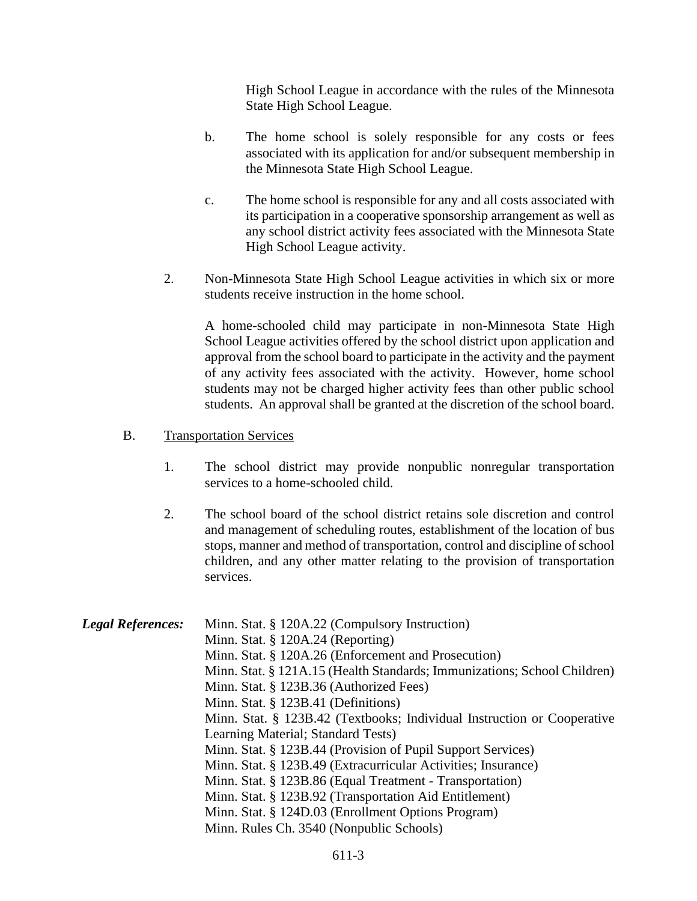High School League in accordance with the rules of the Minnesota State High School League.

- b. The home school is solely responsible for any costs or fees associated with its application for and/or subsequent membership in the Minnesota State High School League.
- c. The home school is responsible for any and all costs associated with its participation in a cooperative sponsorship arrangement as well as any school district activity fees associated with the Minnesota State High School League activity.
- 2. Non-Minnesota State High School League activities in which six or more students receive instruction in the home school.

A home-schooled child may participate in non-Minnesota State High School League activities offered by the school district upon application and approval from the school board to participate in the activity and the payment of any activity fees associated with the activity. However, home school students may not be charged higher activity fees than other public school students. An approval shall be granted at the discretion of the school board.

### B. Transportation Services

- 1. The school district may provide nonpublic nonregular transportation services to a home-schooled child.
- 2. The school board of the school district retains sole discretion and control and management of scheduling routes, establishment of the location of bus stops, manner and method of transportation, control and discipline of school children, and any other matter relating to the provision of transportation services.

| <b>Legal References:</b> | Minn. Stat. § 120A.22 (Compulsory Instruction)                           |
|--------------------------|--------------------------------------------------------------------------|
|                          | Minn. Stat. $\S$ 120A.24 (Reporting)                                     |
|                          | Minn. Stat. § 120A.26 (Enforcement and Prosecution)                      |
|                          | Minn. Stat. § 121A.15 (Health Standards; Immunizations; School Children) |
|                          | Minn. Stat. § 123B.36 (Authorized Fees)                                  |
|                          | Minn. Stat. § 123B.41 (Definitions)                                      |
|                          | Minn. Stat. § 123B.42 (Textbooks; Individual Instruction or Cooperative  |
|                          | Learning Material; Standard Tests)                                       |
|                          | Minn. Stat. § 123B.44 (Provision of Pupil Support Services)              |
|                          | Minn. Stat. § 123B.49 (Extracurricular Activities; Insurance)            |
|                          | Minn. Stat. § 123B.86 (Equal Treatment - Transportation)                 |
|                          | Minn. Stat. § 123B.92 (Transportation Aid Entitlement)                   |
|                          | Minn. Stat. § 124D.03 (Enrollment Options Program)                       |
|                          | Minn. Rules Ch. 3540 (Nonpublic Schools)                                 |